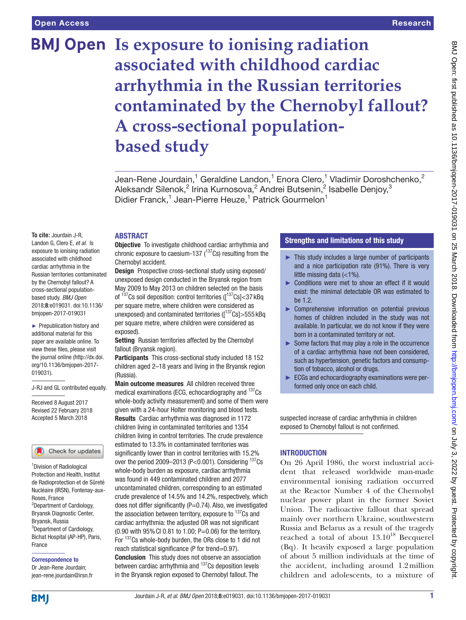# **BMJ Open Is exposure to ionising radiation associated with childhood cardiac arrhythmia in the Russian territories contaminated by the Chernobyl fallout? A cross-sectional populationbased study**

Jean-Rene Jourdain,<sup>1</sup> Geraldine Landon,<sup>1</sup> Enora Clero,<sup>1</sup> Vladimir Doroshchenko,<sup>2</sup> Aleksandr Silenok, $^2$  Irina Kurnosova, $^2$  Andrei Butsenin, $^2$  Isabelle Denjoy, $^3$ Didier Franck,<sup>1</sup> Jean-Pierre Heuze,<sup>1</sup> Patrick Gourmelon<sup>1</sup>

**To cite:** Jourdain J-R, Landon G, Clero E, *et al*. Is exposure to ionising radiation associated with childhood cardiac arrhythmia in the Russian territories contaminated

by the Chernobyl fallout? A cross-sectional populationbased study. *BMJ Open* 2018;8:e019031. doi:10.1136/ bmjopen-2017-019031

► Prepublication history and additional material for this paper are available online. To view these files, please visit the journal online [\(http://dx.doi.](http://dx.doi.org/10.1136/bmjopen-2017-019031) [org/10.1136/bmjopen-2017-](http://dx.doi.org/10.1136/bmjopen-2017-019031) [019031\)](http://dx.doi.org/10.1136/bmjopen-2017-019031).

J-RJ and GL contributed equally.

Received 8 August 2017 Revised 22 February 2018 Accepted 5 March 2018

Check for updates

<sup>1</sup> Division of Radiological Protection and Health, Institut de Radioprotection et de Sûreté Nucléaire (IRSN), Fontenay-aux-Roses, France 2 Department of Cardiology, Bryansk Diagnostic Center, Bryansk, Russia <sup>3</sup>Department of Cardiology, Bichat Hospital (AP-HP), Paris, France

Correspondence to Dr Jean-Rene Jourdain; jean-rene.jourdain@irsn.fr Objective To investigate childhood cardiac arrhythmia and chronic exposure to caesium-137  $(^{137}Cs)$  resulting from the

**ABSTRACT** 

Chernobyl accident. Design Prospective cross-sectional study using exposed/ unexposed design conducted in the Bryansk region from May 2009 to May 2013 on children selected on the basis of  $137$ Cs soil deposition: control territories ( $137$ Cs]<37 kBq per square metre, where children were considered as unexposed) and contaminated territories ( $[137Cs] > 555KBq$ per square metre, where children were considered as exposed).

Setting Russian territories affected by the Chernobyl fallout (Bryansk region).

Participants This cross-sectional study included 18 152 children aged 2–18 years and living in the Bryansk region (Russia).

Main outcome measures All children received three medical examinations (ECG, echocardiography and <sup>137</sup>Cs whole-body activity measurement) and some of them were given with a 24-hour Holter monitoring and blood tests. Results Cardiac arrhythmia was diagnosed in 1172 children living in contaminated territories and 1354 children living in control territories. The crude prevalence estimated to 13.3% in contaminated territories was significantly lower than in control territories with 15.2% over the period 2009-2013 (P<0.001). Considering <sup>137</sup>Cs whole-body burden as exposure, cardiac arrhythmia was found in 449 contaminated children and 2077 uncontaminated children, corresponding to an estimated crude prevalence of 14.5% and 14.2%, respectively, which does not differ significantly (P=0.74). Also, we investigated the association between territory, exposure to  $137$ Cs and cardiac arrhythmia: the adjusted OR was not significant (0.90 with 95%CI 0.81 to 1.00; P=0.06) for the territory. For  $137$ Cs whole-body burden, the ORs close to 1 did not reach statistical significance (P for trend=0.97).

Conclusion This study does not observe an association between cardiac arrhythmia and <sup>137</sup>Cs deposition levels in the Bryansk region exposed to Chernobyl fallout. The

# Strengths and limitations of this study

- ► This study includes a large number of participants and a nice participation rate (91%). There is very little missing data (<1%).
- ► Conditions were met to show an effect if it would exist: the minimal detectable OR was estimated to he 1.2
- ► Comprehensive information on potential previous homes of children included in the study was not available. In particular, we do not know if they were born in a contaminated territory or not.
- ► Some factors that may play a role in the occurrence of a cardiac arrhythmia have not been considered, such as hypertension, genetic factors and consumption of tobacco, alcohol or drugs.
- ► ECGs and echocardiography examinations were performed only once on each child.

suspected increase of cardiac arrhythmia in children exposed to Chernobyl fallout is not confirmed.

# **INTRODUCTION**

On 26 April 1986, the worst industrial accident that released worldwide man-made environmental ionising radiation occurred at the Reactor Number 4 of the Chernobyl nuclear power plant in the former Soviet Union. The radioactive fallout that spread mainly over northern Ukraine, southwestern Russia and Belarus as a result of the tragedy reached a total of about  $13.10^{18}$  Becquerel (Bq). It heavily exposed a large population of about 5 million individuals at the time of the accident, including around 1.2million children and adolescents, to a mixture of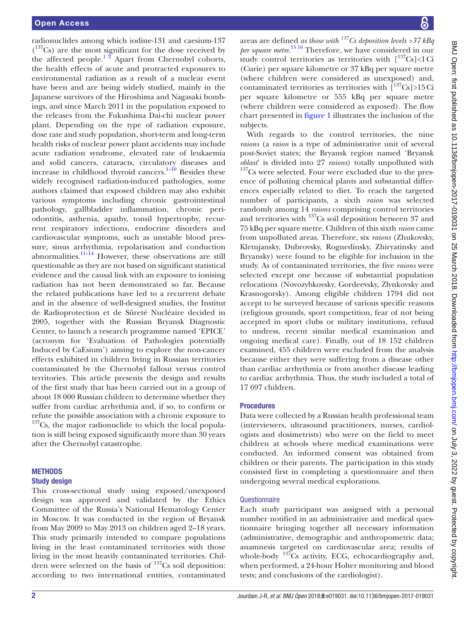radionuclides among which iodine-131 and caesium-137 ( 137Cs) are the most significant for the dose received by the affected people. $1^2$  Apart from Chernobyl cohorts, the health effects of acute and protracted exposures to environmental radiation as a result of a nuclear event have been and are being widely studied, mainly in the Japanese survivors of the Hiroshima and Nagasaki bombings, and since March 2011 in the population exposed to the releases from the Fukushima Dai-chi nuclear power plant. Depending on the type of radiation exposure, dose rate and study population, short-term and long-term health risks of nuclear power plant accidents may include acute radiation syndrome, elevated rate of leukaemia and solid cancers, cataracts, circulatory diseases and increase in childhood thyroid cancers.<sup>1-10</sup> Besides these widely recognised radiation-induced pathologies, some authors claimed that exposed children may also exhibit various symptoms including chronic gastrointestinal pathology, gallbladder inflammation, chronic periodontitis, asthenia, apathy, tonsil hypertrophy, recurrent respiratory infections, endocrine disorders and cardiovascular symptoms, such as unstable blood pressure, sinus arrhythmia, repolarisation and conduction abnormalities. $\frac{11-14}{1}$  However, these observations are still questionable as they are not based on significant statistical evidence and the causal link with an exposure to ionising radiation has not been demonstrated so far. Because the related publications have led to a recurrent debate and in the absence of well-designed studies, the Institut de Radioprotection et de Sûreté Nucléaire decided in 2005, together with the Russian Bryansk Diagnostic Center, to launch a research programme named 'EPICE' (acronym for 'Evaluation of Pathologies potentially Induced by CaEsium') aiming to explore the non-cancer effects exhibited in children living in Russian territories contaminated by the Chernobyl fallout versus control territories. This article presents the design and results of the first study that has been carried out in a group of about 18 000 Russian children to determine whether they suffer from cardiac arrhythmia and, if so, to confirm or refute the possible association with a chronic exposure to  $137Cs$ , the major radionuclide to which the local population is still being exposed significantly more than 30 years after the Chernobyl catastrophe.

# **METHODS**

#### Study design

This cross-sectional study using exposed/unexposed design was approved and validated by the Ethics Committee of the Russia's National Hematology Center in Moscow. It was conducted in the region of Bryansk from May 2009 to May 2013 on children aged 2–18 years. This study primarily intended to compare populations living in the least contaminated territories with those living in the most heavily contaminated territories. Children were selected on the basis of  $137$ Cs soil deposition: according to two international entities, contaminated

areas are defined *as those with 137Cs deposition levels >37 kBq per square metre*. [15 16](#page-8-2) Therefore, we have considered in our study control territories as territories with  $\lceil \frac{137}{s}Cs \rceil < 1$  Ci (Curie) per square kilometre or 37 kBq per square metre (where children were considered as unexposed) and, contaminated territories as territories with  $\int_0^{137} Cs$ ]>15Ci per square kilometre or 555 kBq per square metre (where children were considered as exposed). The flow chart presented in [figure](#page-2-0) 1 illustrates the inclusion of the subjects.

With regards to the control territories, the nine *raions* (a *raion* is a type of administrative unit of several post-Soviet states; the Bryansk region named 'Bryansk *oblast'* is divided into 27 *raions*) totally unpolluted with  $137$ Cs were selected. Four were excluded due to the presence of polluting chemical plants and substantial differences especially related to diet. To reach the targeted number of participants, a sixth *raion* was selected randomly among 14 *raions* comprising control territories and territories with 137Cs soil deposition between 37 and 75 kBq per square metre. Children of this sixth *raion* came from unpolluted areas. Therefore, six *raions* (Zhukovsky, Kletnjansky, Dubrovsky, Rognedinsky, Zhiryatinsky and Bryansky) were found to be eligible for inclusion in the study. As of contaminated territories, the five *raions* were selected except one because of substantial population relocations (Novozybkovsky, Gordeevsky, Zlynkovsky and Krasnogorsky). Among eligible children 1794 did not accept to be surveyed because of various specific reasons (religious grounds, sport competition, fear of not being accepted in sport clubs or military institutions, refusal to undress, recent similar medical examination and ongoing medical care). Finally, out of 18 152 children examined, 455 children were excluded from the analysis because either they were suffering from a disease other than cardiac arrhythmia or from another disease leading to cardiac arrhythmia. Thus, the study included a total of 17 697 children.

#### Procedures

Data were collected by a Russian health professional team (interviewers, ultrasound practitioners, nurses, cardiologists and dosimetrists) who were on the field to meet children at schools where medical examinations were conducted. An informed consent was obtained from children or their parents. The participation in this study consisted first in completing a questionnaire and then undergoing several medical explorations.

# **Questionnaire**

Each study participant was assigned with a personal number notified in an administrative and medical questionnaire bringing together all necessary information (administrative, demographic and anthropometric data; anamnesis targeted on cardiovascular area; results of whole-body <sup>137</sup>Cs activity, ECG, echocardiography and, when performed, a 24-hour Holter monitoring and blood tests; and conclusions of the cardiologist).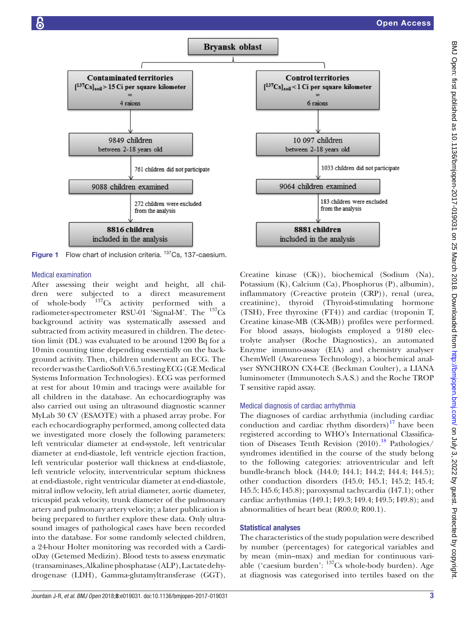

<span id="page-2-0"></span>Figure 1 Flow chart of inclusion criteria. <sup>137</sup>Cs, 137-caesium.

#### Medical examination

After assessing their weight and height, all children were subjected to a direct measurement<br>of whole-body  $137$ Cs activity performed with a of whole-body  $137Cs$  activity performed with a radiometer-spectrometer RSU-01 'Signal-M'. The  $^{137}Cs$ background activity was systematically assessed and subtracted from activity measured in children. The detection limit (DL) was evaluated to be around 1200 Bq for a 10min counting time depending essentially on the background activity. Then, children underwent an ECG. The recorder was the CardioSoft V.6.5 resting ECG (GE Medical Systems Information Technologies). ECG was performed at rest for about 10min and tracings were available for all children in the database. An echocardiography was also carried out using an ultrasound diagnostic scanner MyLab 30 CV (ESAOTE) with a phased array probe. For each echocardiography performed, among collected data we investigated more closely the following parameters: left ventricular diameter at end-systole, left ventricular diameter at end-diastole, left ventricle ejection fraction, left ventricular posterior wall thickness at end-diastole, left ventricle velocity, interventricular septum thickness at end-diastole, right ventricular diameter at end-diastole, mitral inflow velocity, left atrial diameter, aortic diameter, tricuspid peak velocity, trunk diameter of the pulmonary artery and pulmonary artery velocity; a later publication is being prepared to further explore these data. Only ultrasound images of pathological cases have been recorded into the database. For some randomly selected children, a 24-hour Holter monitoring was recorded with a CardioDay (Getemed Medizin). Blood tests to assess enzymatic (transaminases, Alkalinephosphatase (ALP), Lactatedehydrogenase (LDH), Gamma-glutamyltransferase (GGT),



Creatine kinase (CK)), biochemical (Sodium (Na), Potassium (K), Calcium (Ca), Phosphorus (P), albumin), inflammatory (C-reactive protein (CRP)), renal (urea, creatinine), thyroid (Thyroid-stimulating hormone (TSH), Free thyroxine (FT4)) and cardiac (troponin T, Creatine kinase-MB (CK-MB)) profiles were performed. For blood assays, biologists employed a 9180 electrolyte analyser (Roche Diagnostics), an automated Enzyme immuno-assay (EIA) and chemistry analyser ChemWell (Awareness Technology), a biochemical analyser SYNCHRON CX4-CE (Beckman Coulter), a LIANA luminometer (Immunotech S.A.S.) and the Roche TROP T sensitive rapid assay.

#### Medical diagnosis of cardiac arrhythmia

The diagnoses of cardiac arrhythmia (including cardiac conduction and cardiac rhythm disorders) $17$  have been registered according to WHO's International Classification of Diseases Tenth Revision  $(2010).^{18}$  Pathologies/ syndromes identified in the course of the study belong to the following categories: atrioventricular and left bundle-branch block (I44.0; I44.1; I44.2; I44.4; I44.5); other conduction disorders (I45.0; I45.1; I45.2; I45.4; I45.5; I45.6; I45.8); paroxysmal tachycardia (I47.1); other cardiac arrhythmias (I49.1; I49.3; I49.4; I49.5; I49.8); and abnormalities of heart beat (R00.0; R00.1).

#### Statistical analyses

The characteristics of the study population were described by number (percentages) for categorical variables and by mean (min–max) and median for continuous variable ('caesium burden': 137Cs whole-body burden). Age at diagnosis was categorised into tertiles based on the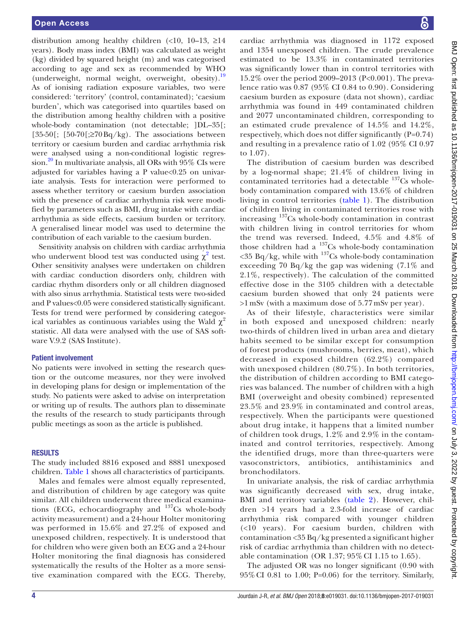distribution among healthy children  $\langle$  <10, 10–13,  $\geq$ 14 years). Body mass index (BMI) was calculated as weight (kg) divided by squared height (m) and was categorised according to age and sex as recommended by WHO (underweight, normal weight, overweight, obesity).[19](#page-8-5) As of ionising radiation exposure variables, two were considered: 'territory' (control, contaminated); 'caesium burden', which was categorised into quartiles based on the distribution among healthy children with a positive whole-body contamination (not detectable;  $|DL-35|$ ; [35-50]; [50-70]; $\geq$ 70Bq/kg). The associations between territory or caesium burden and cardiac arrhythmia risk were analysed using a non-conditional logistic regression.<sup>20</sup> In multivariate analysis, all ORs with  $95\%$  CIs were adjusted for variables having a P value<0.25 on univariate analysis. Tests for interaction were performed to assess whether territory or caesium burden association with the presence of cardiac arrhythmia risk were modified by parameters such as BMI, drug intake with cardiac arrhythmia as side effects, caesium burden or territory. A generalised linear model was used to determine the contribution of each variable to the caesium burden.

Sensitivity analysis on children with cardiac arrhythmia who underwent blood test was conducted using  $\chi^2$  $\chi^2$  test. Other sensitivity analyses were undertaken on children with cardiac conduction disorders only, children with cardiac rhythm disorders only or all children diagnosed with also sinus arrhythmia. Statistical tests were two-sided and P values<0.05 were considered statistically significant. Tests for trend were performed by considering categorical variables as continuous variables using the Wald  $\gamma^2$ statistic. All data were analysed with the use of SAS software V.9.2 (SAS Institute).

#### Patient involvement

No patients were involved in setting the research question or the outcome measures, nor they were involved in developing plans for design or implementation of the study. No patients were asked to advise on interpretation or writing up of results. The authors plan to disseminate the results of the research to study participants through public meetings as soon as the article is published.

#### **RESULTS**

The study included 8816 exposed and 8881 unexposed children. [Table](#page-4-0) 1 shows all characteristics of participants.

Males and females were almost equally represented, and distribution of children by age category was quite similar. All children underwent three medical examinations (ECG, echocardiography and <sup>137</sup>Cs whole-body activity measurement) and a 24-hour Holter monitoring was performed in 15.6% and 27.2% of exposed and unexposed children, respectively. It is understood that for children who were given both an ECG and a 24-hour Holter monitoring the final diagnosis has considered systematically the results of the Holter as a more sensitive examination compared with the ECG. Thereby,

cardiac arrhythmia was diagnosed in 1172 exposed and 1354 unexposed children. The crude prevalence estimated to be 13.3% in contaminated territories was significantly lower than in control territories with 15.2% over the period 2009–2013 (P<0.001). The prevalence ratio was 0.87 (95% CI 0.84 to 0.90). Considering caesium burden as exposure (data not shown), cardiac arrhythmia was found in 449 contaminated children and 2077 uncontaminated children, corresponding to an estimated crude prevalence of 14.5% and 14.2%, respectively, which does not differ significantly (P=0.74) and resulting in a prevalence ratio of 1.02 (95% CI 0.97 to 1.07).

The distribution of caesium burden was described by a log-normal shape; 21.4% of children living in contaminated territories had a detectable  $137Cs$  wholebody contamination compared with 13.6% of children living in control territories ([table](#page-4-0) 1). The distribution of children living in contaminated territories rose with increasing 137Cs whole-body contamination in contrast with children living in control territories for whom the trend was reversed. Indeed, 4.5% and 4.8% of those children had a  $^{137}Cs$  whole-body contamination  $\langle 35 \text{ Bq/kg}$ , while with  $^{137}$ Cs whole-body contamination exceeding 70 Bq/kg the gap was widening (7.1% and 2.1%, respectively). The calculation of the committed effective dose in the 3105 children with a detectable caesium burden showed that only 24 patients were >1 mSv (with a maximum dose of 5.77 mSv per year).

As of their lifestyle, characteristics were similar in both exposed and unexposed children: nearly two-thirds of children lived in urban area and dietary habits seemed to be similar except for consumption of forest products (mushrooms, berries, meat), which decreased in exposed children (62.2%) compared with unexposed children (80.7%). In both territories, the distribution of children according to BMI categories was balanced. The number of children with a high BMI (overweight and obesity combined) represented 23.5% and 23.9% in contaminated and control areas, respectively. When the participants were questioned about drug intake, it happens that a limited number of children took drugs, 1.2% and 2.9% in the contaminated and control territories, respectively. Among the identified drugs, more than three-quarters were vasoconstrictors, antibiotics, antihistaminics and bronchodilators.

In univariate analysis, the risk of cardiac arrhythmia was significantly decreased with sex, drug intake, BMI and territory variables [\(table](#page-5-0) 2). However, children >14 years had a 2.3-fold increase of cardiac arrhythmia risk compared with younger children (<10 years). For caesium burden, children with contamination <35 Bq/kg presented a significant higher risk of cardiac arrhythmia than children with no detectable contamination (OR 1.37; 95% CI 1.15 to 1.65).

The adjusted OR was no longer significant (0.90 with 95%CI 0.81 to 1.00; P=0.06) for the territory. Similarly,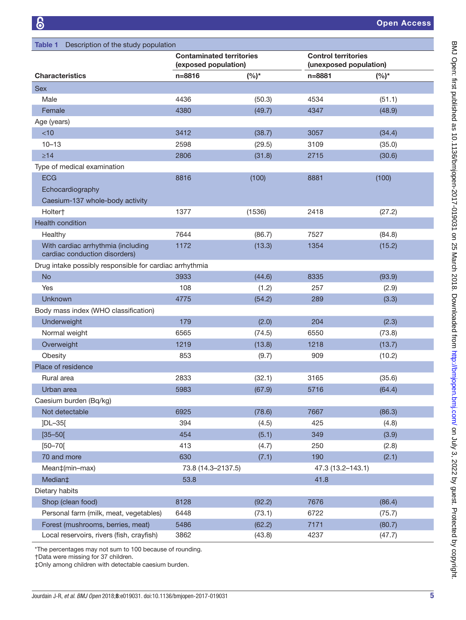<span id="page-4-0"></span>

| Description of the study population<br>Table 1                      |                                                         |         |                                                      |         |  |  |  |
|---------------------------------------------------------------------|---------------------------------------------------------|---------|------------------------------------------------------|---------|--|--|--|
|                                                                     | <b>Contaminated territories</b><br>(exposed population) |         | <b>Control territories</b><br>(unexposed population) |         |  |  |  |
| <b>Characteristics</b>                                              | $n = 8816$                                              | $(%)^*$ | $n = 8881$                                           | $(%)^*$ |  |  |  |
| <b>Sex</b>                                                          |                                                         |         |                                                      |         |  |  |  |
| Male                                                                | 4436                                                    | (50.3)  | 4534                                                 | (51.1)  |  |  |  |
| Female                                                              | 4380                                                    | (49.7)  | 4347                                                 | (48.9)  |  |  |  |
| Age (years)                                                         |                                                         |         |                                                      |         |  |  |  |
| <10                                                                 | 3412                                                    | (38.7)  | 3057                                                 | (34.4)  |  |  |  |
| $10 - 13$                                                           | 2598                                                    | (29.5)  | 3109                                                 | (35.0)  |  |  |  |
| $\geq 14$                                                           | 2806                                                    | (31.8)  | 2715                                                 | (30.6)  |  |  |  |
| Type of medical examination                                         |                                                         |         |                                                      |         |  |  |  |
| <b>ECG</b>                                                          | 8816                                                    | (100)   | 8881                                                 | (100)   |  |  |  |
| Echocardiography                                                    |                                                         |         |                                                      |         |  |  |  |
| Caesium-137 whole-body activity                                     |                                                         |         |                                                      |         |  |  |  |
| Holter†                                                             | 1377                                                    | (1536)  | 2418                                                 | (27.2)  |  |  |  |
| <b>Health condition</b>                                             |                                                         |         |                                                      |         |  |  |  |
| Healthy                                                             | 7644                                                    | (86.7)  | 7527                                                 | (84.8)  |  |  |  |
| With cardiac arrhythmia (including<br>cardiac conduction disorders) | 1172                                                    | (13.3)  | 1354                                                 | (15.2)  |  |  |  |
| Drug intake possibly responsible for cardiac arrhythmia             |                                                         |         |                                                      |         |  |  |  |
| <b>No</b>                                                           | 3933                                                    | (44.6)  | 8335                                                 | (93.9)  |  |  |  |
| Yes                                                                 | 108                                                     | (1.2)   | 257                                                  | (2.9)   |  |  |  |
| Unknown                                                             | 4775                                                    | (54.2)  | 289                                                  | (3.3)   |  |  |  |
| Body mass index (WHO classification)                                |                                                         |         |                                                      |         |  |  |  |
| Underweight                                                         | 179                                                     | (2.0)   | 204                                                  | (2.3)   |  |  |  |
| Normal weight                                                       | 6565                                                    | (74.5)  | 6550                                                 | (73.8)  |  |  |  |
| Overweight                                                          | 1219                                                    | (13.8)  | 1218                                                 | (13.7)  |  |  |  |
| Obesity                                                             | 853                                                     | (9.7)   | 909                                                  | (10.2)  |  |  |  |
| Place of residence                                                  |                                                         |         |                                                      |         |  |  |  |
| Rural area                                                          | 2833                                                    | (32.1)  | 3165                                                 | (35.6)  |  |  |  |
| Urban area                                                          | 5983                                                    | (67.9)  | 5716                                                 | (64.4)  |  |  |  |
| Caesium burden (Bq/kg)                                              |                                                         |         |                                                      |         |  |  |  |
| Not detectable                                                      | 6925                                                    | (78.6)  | 7667                                                 | (86.3)  |  |  |  |
| ]DL-35[                                                             | 394                                                     | (4.5)   | 425                                                  | (4.8)   |  |  |  |
| $[35 - 50]$                                                         | 454                                                     | (5.1)   | 349                                                  | (3.9)   |  |  |  |
| $[50 - 70]$                                                         | 413                                                     | (4.7)   | 250                                                  | (2.8)   |  |  |  |
| 70 and more                                                         | 630                                                     | (7.1)   | 190                                                  | (2.1)   |  |  |  |
| Mean‡(min-max)                                                      | 73.8 (14.3-2137.5)                                      |         | 47.3 (13.2-143.1)                                    |         |  |  |  |
| Median‡                                                             | 53.8                                                    |         | 41.8                                                 |         |  |  |  |
| Dietary habits                                                      |                                                         |         |                                                      |         |  |  |  |
| Shop (clean food)                                                   | 8128                                                    | (92.2)  | 7676                                                 | (86.4)  |  |  |  |
| Personal farm (milk, meat, vegetables)                              | 6448                                                    | (73.1)  | 6722                                                 | (75.7)  |  |  |  |
| Forest (mushrooms, berries, meat)                                   | 5486                                                    | (62.2)  | 7171                                                 | (80.7)  |  |  |  |
| Local reservoirs, rivers (fish, crayfish)                           | 3862                                                    | (43.8)  | 4237                                                 | (47.7)  |  |  |  |

\*The percentages may not sum to 100 because of rounding.

†Data were missing for 37 children.

‡Only among children with detectable caesium burden.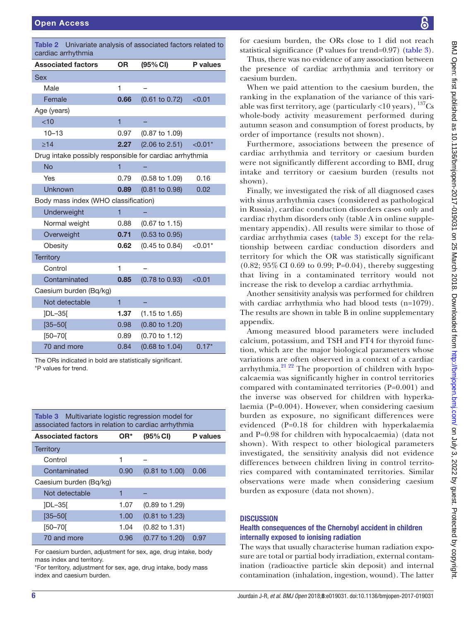<span id="page-5-0"></span>

| Univariate analysis of associated factors related to<br>Table 2<br>cardiac arrhythmia |                |                           |           |  |  |  |
|---------------------------------------------------------------------------------------|----------------|---------------------------|-----------|--|--|--|
| <b>Associated factors</b>                                                             | 0R             | (95% CI)                  | P values  |  |  |  |
| Sex                                                                                   |                |                           |           |  |  |  |
| Male                                                                                  | 1              |                           |           |  |  |  |
| Female                                                                                | 0.66           | $(0.61 \text{ to } 0.72)$ | < 0.01    |  |  |  |
| Age (years)                                                                           |                |                           |           |  |  |  |
| < 10                                                                                  | $\overline{1}$ |                           |           |  |  |  |
| $10 - 13$                                                                             | 0.97           | $(0.87 \text{ to } 1.09)$ |           |  |  |  |
| $\geq 14$                                                                             | 2.27           | $(2.06 \text{ to } 2.51)$ | $< 0.01*$ |  |  |  |
| Drug intake possibly responsible for cardiac arrhythmia                               |                |                           |           |  |  |  |
| <b>No</b>                                                                             | 1              |                           |           |  |  |  |
| Yes                                                                                   | 0.79           | $(0.58 \text{ to } 1.09)$ | 0.16      |  |  |  |
| Unknown                                                                               | 0.89           | $(0.81$ to $0.98)$        | 0.02      |  |  |  |
| Body mass index (WHO classification)                                                  |                |                           |           |  |  |  |
| Underweight                                                                           | 1              |                           |           |  |  |  |
| Normal weight                                                                         | 0.88           | $(0.67 \text{ to } 1.15)$ |           |  |  |  |
| Overweight                                                                            | 0.71           | $(0.53 \text{ to } 0.95)$ |           |  |  |  |
| Obesity                                                                               | 0.62           | $(0.45 \text{ to } 0.84)$ | $< 0.01*$ |  |  |  |
| <b>Territory</b>                                                                      |                |                           |           |  |  |  |
| Control                                                                               | 1              |                           |           |  |  |  |
| Contaminated                                                                          | 0.85           | $(0.78 \text{ to } 0.93)$ | < 0.01    |  |  |  |
| Caesium burden (Bq/kg)                                                                |                |                           |           |  |  |  |
| Not detectable                                                                        | $\overline{1}$ |                           |           |  |  |  |
| <b>JDL-35[</b>                                                                        | 1.37           | $(1.15 \text{ to } 1.65)$ |           |  |  |  |
| $[35 - 50]$                                                                           | 0.98           | $(0.80 \text{ to } 1.20)$ |           |  |  |  |
| $[50 - 70]$                                                                           | 0.89           | (0.70 to 1.12)            |           |  |  |  |
| 70 and more                                                                           | 0.84           | $(0.68 \text{ to } 1.04)$ | $0.17*$   |  |  |  |

The ORs indicated in bold are statistically significant. \*P values for trend.

<span id="page-5-1"></span>

| Table 3 | Multivariate logistic regression model for           |  |
|---------|------------------------------------------------------|--|
|         | associated factors in relation to cardiac arrhythmia |  |

| <b>Associated factors</b> | OR*  | (95% CI)                  | P values |
|---------------------------|------|---------------------------|----------|
| <b>Territory</b>          |      |                           |          |
| Control                   | 1    |                           |          |
| Contaminated              | 0.90 | $(0.81 \text{ to } 1.00)$ | 0.06     |
| Caesium burden (Bq/kg)    |      |                           |          |
| Not detectable            | 1    |                           |          |
| $ DL-35 $                 | 1.07 | $(0.89 \text{ to } 1.29)$ |          |
| $[35 - 50]$               | 1.00 | $(0.81 \text{ to } 1.23)$ |          |
| $[50 - 70]$               | 1.04 | $(0.82 \text{ to } 1.31)$ |          |
| 70 and more               | 0.96 | (0.77 to 1.20)            | 0.97     |

For caesium burden, adjustment for sex, age, drug intake, body mass index and territory.

\*For territory, adjustment for sex, age, drug intake, body mass index and caesium burden.

for caesium burden, the ORs close to 1 did not reach statistical significance (P values for trend=0.97) ([table](#page-5-1) 3).

Thus, there was no evidence of any association between the presence of cardiac arrhythmia and territory or caesium burden.

When we paid attention to the caesium burden, the ranking in the explanation of the variance of this variable was first territory, age (particularly <10 years),  $^{137}Cs$ whole-body activity measurement performed during autumn season and consumption of forest products, by order of importance (results not shown).

Furthermore, associations between the presence of cardiac arrhythmia and territory or caesium burden were not significantly different according to BMI, drug intake and territory or caesium burden (results not shown).

Finally, we investigated the risk of all diagnosed cases with sinus arrhythmia cases (considered as pathological in Russia), cardiac conduction disorders cases only and cardiac rhythm disorders only (table A in online [supple](https://dx.doi.org/10.1136/bmjopen-2017-019031)[mentary appendix\)](https://dx.doi.org/10.1136/bmjopen-2017-019031). All results were similar to those of cardiac arrhythmia cases ([table](#page-5-1) 3) except for the relationship between cardiac conduction disorders and territory for which the OR was statistically significant (0.82; 95% CI 0.69 to 0.99; P=0.04), thereby suggesting that living in a contaminated territory would not increase the risk to develop a cardiac arrhythmia.

Another sensitivity analysis was performed for children with cardiac arrhythmia who had blood tests (n=1079). The results are shown in table B in online [supplementary](https://dx.doi.org/10.1136/bmjopen-2017-019031)  [appendix](https://dx.doi.org/10.1136/bmjopen-2017-019031).

Among measured blood parameters were included calcium, potassium, and TSH and FT4 for thyroid function, which are the major biological parameters whose variations are often observed in a context of a cardiac arrhythmia. $^{21\,22}$  The proportion of children with hypocalcaemia was significantly higher in control territories compared with contaminated territories (P=0.001) and the inverse was observed for children with hyperkalaemia (P=0.004). However, when considering caesium burden as exposure, no significant differences were evidenced (P=0.18 for children with hyperkalaemia and P=0.98 for children with hypocalcaemia) (data not shown). With respect to other biological parameters investigated, the sensitivity analysis did not evidence differences between children living in control territories compared with contaminated territories. Similar observations were made when considering caesium burden as exposure (data not shown).

# **DISCUSSION**

# Health consequences of the Chernobyl accident in children internally exposed to ionising radiation

The ways that usually characterise human radiation exposure are total or partial body irradiation, external contamination (radioactive particle skin deposit) and internal contamination (inhalation, ingestion, wound). The latter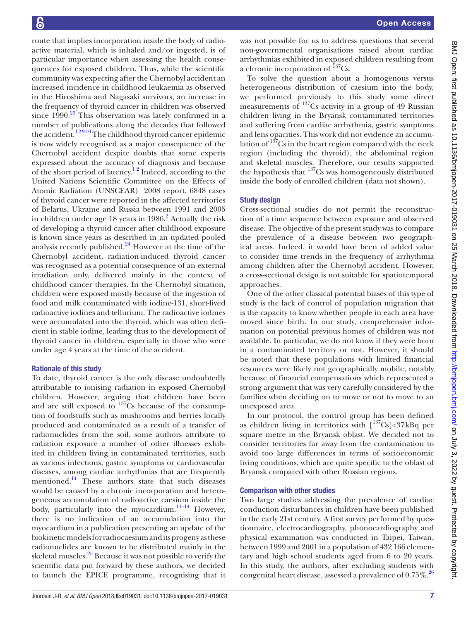route that implies incorporation inside the body of radioactive material, which is inhaled and/or ingested, is of particular importance when assessing the health consequences for exposed children. Thus, while the scientific community was expecting after the Chernobyl accident an increased incidence in childhood leukaemia as observed in the Hiroshima and Nagasaki survivors, an increase in the frequency of thyroid cancer in children was observed since  $1990.<sup>23</sup>$  $1990.<sup>23</sup>$  $1990.<sup>23</sup>$  This observation was lately confirmed in a number of publications along the decades that followed the accident.<sup>12910</sup> The childhood thyroid cancer epidemic is now widely recognised as a major consequence of the Chernobyl accident despite doubts that some experts expressed about the accuracy of diagnosis and because of the short period of latency[.1 2](#page-8-0) Indeed, according to the United Nations Scientific Committee on the Effects of Atomic Radiation (UNSCEAR) 2008 report, 6848 cases of thyroid cancer were reported in the affected territories of Belarus, Ukraine and Russia between 1991 and 2005 in children under age  $18$  years in  $1986$ .<sup>[2](#page-8-7)</sup> Actually the risk of developing a thyroid cancer after childhood exposure is known since years as described in an updated pooled analysis recently published. $^{24}$  However at the time of the Chernobyl accident, radiation-induced thyroid cancer was recognised as a potential consequence of an external irradiation only, delivered mainly in the context of childhood cancer therapies. In the Chernobyl situation, children were exposed mostly because of the ingestion of food and milk contaminated with iodine-131, short-lived radioactive iodines and tellurium. The radioactive iodines were accumulated into the thyroid, which was often deficient in stable iodine, leading thus to the development of thyroid cancer in children, especially in those who were under age 4 years at the time of the accident.

# Rationale of this study

To date, thyroid cancer is the only disease undoubtedly attributable to ionising radiation in exposed Chernobyl children. However, arguing that children have been and are still exposed to  $137\overline{\text{Cs}}$  because of the consumption of foodstuffs such as mushrooms and berries locally produced and contaminated as a result of a transfer of radionuclides from the soil, some authors attribute to radiation exposure a number of other illnesses exhibited in children living in contaminated territories, such as various infections, gastric symptoms or cardiovascular diseases, among cardiac arrhythmias that are frequently mentioned.<sup>14</sup> These authors state that such diseases would be caused by a chronic incorporation and heterogeneous accumulation of radioactive caesium inside the body, particularly into the myocardium. $11-14$  However, there is no indication of an accumulation into the myocardium in a publication presenting an update of the biokinetic models for radiocaesium and its progeny as these radionuclides are known to be distributed mainly in the skeletal muscles.<sup>25</sup> Because it was not possible to verify the scientific data put forward by these authors, we decided to launch the EPICE programme, recognising that it

was not possible for us to address questions that several non-governmental organisations raised about cardiac arrhythmias exhibited in exposed children resulting from a chronic incorporation of  $137$ Cs.

To solve the question about a homogenous versus heterogeneous distribution of caesium into the body, we performed previously to this study some direct measurements of  $^{137}$ Cs activity in a group of 49 Russian children living in the Bryansk contaminated territories and suffering from cardiac arrhythmia, gastric symptoms and lens opacities. This work did not evidence an accumulation of  $137$ Cs in the heart region compared with the neck region (including the thyroid), the abdominal region and skeletal muscles. Therefore, our results supported the hypothesis that <sup>137</sup>Cs was homogeneously distributed inside the body of enrolled children (data not shown).

### Study design

Cross-sectional studies do not permit the reconstruction of a time sequence between exposure and observed disease. The objective of the present study was to compare the prevalence of a disease between two geographical areas. Indeed, it would have been of added value to consider time trends in the frequency of arrhythmia among children after the Chernobyl accident. However, a cross-sectional design is not suitable for spatiotemporal approaches.

One of the other classical potential biases of this type of study is the lack of control of population migration that is the capacity to know whether people in each area have moved since birth. In our study, comprehensive information on potential previous homes of children was not available. In particular, we do not know if they were born in a contaminated territory or not. However, it should be noted that these populations with limited financial resources were likely not geographically mobile, notably because of financial compensations which represented a strong argument that was very carefully considered by the families when deciding on to move or not to move to an unexposed area.

In our protocol, the control group has been defined as children living in territories with  $\int_0^{137} Cs$  < 37 kBq per square metre in the Bryansk oblast. We decided not to consider territories far away from the contamination to avoid too large differences in terms of socioeconomic living conditions, which are quite specific to the oblast of Bryansk compared with other Russian regions.

# Comparison with other studies

Two large studies addressing the prevalence of cardiac conduction disturbances in children have been published in the early 21st century. A first survey performed by questionnaire, electrocardiography, phonocardiography and physical examination was conducted in Taipei, Taiwan, between 1999 and 2001 in a population of 432 166 elementary and high school students aged from 6 to 20 years. In this study, the authors, after excluding students with congenital heart disease, assessed a prevalence of  $0.75\%$ .<sup>[26](#page-8-13)</sup>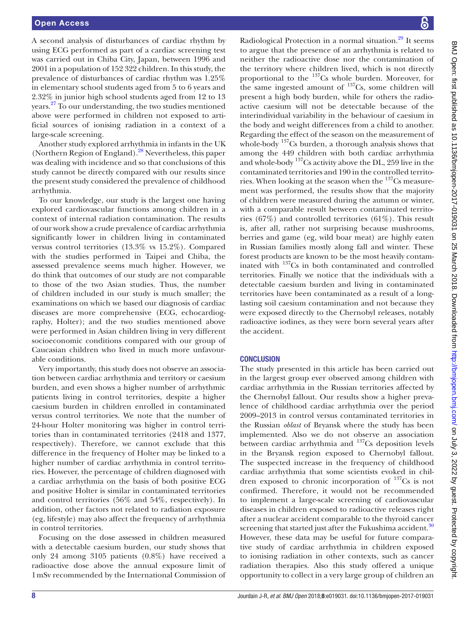A second analysis of disturbances of cardiac rhythm by using ECG performed as part of a cardiac screening test was carried out in Chiba City, Japan, between 1996 and 2001 in a population of 152 322 children. In this study, the prevalence of disturbances of cardiac rhythm was 1.25% in elementary school students aged from 5 to 6 years and 2.32% in junior high school students aged from 12 to 13 years.[27](#page-8-14) To our understanding, the two studies mentioned above were performed in children not exposed to artificial sources of ionising radiation in a context of a large-scale screening.

Another study explored arrhythmia in infants in the UK (Northern Region of England).[28](#page-8-15) Nevertheless, this paper was dealing with incidence and so that conclusions of this study cannot be directly compared with our results since the present study considered the prevalence of childhood arrhythmia.

To our knowledge, our study is the largest one having explored cardiovascular functions among children in a context of internal radiation contamination. The results of our work show a crude prevalence of cardiac arrhythmia significantly lower in children living in contaminated versus control territories (13.3% vs 15.2%). Compared with the studies performed in Taipei and Chiba, the assessed prevalence seems much higher. However, we do think that outcomes of our study are not comparable to those of the two Asian studies. Thus, the number of children included in our study is much smaller; the examinations on which we based our diagnosis of cardiac diseases are more comprehensive (ECG, echocardiography, Holter); and the two studies mentioned above were performed in Asian children living in very different socioeconomic conditions compared with our group of Caucasian children who lived in much more unfavourable conditions.

Very importantly, this study does not observe an association between cardiac arrhythmia and territory or caesium burden, and even shows a higher number of arrhythmic patients living in control territories, despite a higher caesium burden in children enrolled in contaminated versus control territories. We note that the number of 24-hour Holter monitoring was higher in control territories than in contaminated territories (2418 and 1377, respectively). Therefore, we cannot exclude that this difference in the frequency of Holter may be linked to a higher number of cardiac arrhythmia in control territories. However, the percentage of children diagnosed with a cardiac arrhythmia on the basis of both positive ECG and positive Holter is similar in contaminated territories and control territories (56% and 54%, respectively). In addition, other factors not related to radiation exposure (eg, lifestyle) may also affect the frequency of arrhythmia in control territories.

Focusing on the dose assessed in children measured with a detectable caesium burden, our study shows that only 24 among 3105 patients (0.8%) have received a radioactive dose above the annual exposure limit of 1mSv recommended by the International Commission of

Radiological Protection in a normal situation. $^{29}$  It seems to argue that the presence of an arrhythmia is related to neither the radioactive dose nor the contamination of the territory where children lived, which is not directly proportional to the 137Cs whole burden. Moreover, for the same ingested amount of  $137Cs$ , some children will present a high body burden, while for others the radioactive caesium will not be detectable because of the interindividual variability in the behaviour of caesium in the body and weight differences from a child to another. Regarding the effect of the season on the measurement of whole-body  $137Cs$  burden, a thorough analysis shows that among the 449 children with both cardiac arrhythmia and whole-body 137Cs activity above the DL, 259 live in the contaminated territories and 190 in the controlled territories. When looking at the season when the  $137$ Cs measurement was performed, the results show that the majority of children were measured during the autumn or winter, with a comparable result between contaminated territories (67%) and controlled territories (61%). This result is, after all, rather not surprising because mushrooms, berries and game (eg, wild boar meat) are highly eaten in Russian families mostly along fall and winter. These forest products are known to be the most heavily contaminated with 137Cs in both contaminated and controlled territories. Finally we notice that the individuals with a detectable caesium burden and living in contaminated territories have been contaminated as a result of a longlasting soil caesium contamination and not because they were exposed directly to the Chernobyl releases, notably radioactive iodines, as they were born several years after the accident.

#### **CONCLUSION**

The study presented in this article has been carried out in the largest group ever observed among children with cardiac arrhythmia in the Russian territories affected by the Chernobyl fallout. Our results show a higher prevalence of childhood cardiac arrhythmia over the period 2009–2013 in control versus contaminated territories in the Russian *oblast* of Bryansk where the study has been implemented. Also we do not observe an association between cardiac arrhythmia and <sup>137</sup>Cs deposition levels in the Bryansk region exposed to Chernobyl fallout. The suspected increase in the frequency of childhood cardiac arrhythmia that some scientists evoked in children exposed to chronic incorporation of  $137$ Cs is not confirmed. Therefore, it would not be recommended to implement a large-scale screening of cardiovascular diseases in children exposed to radioactive releases right after a nuclear accident comparable to the thyroid cancer screening that started just after the Fukushima accident.<sup>[30](#page-8-17)</sup> However, these data may be useful for future comparative study of cardiac arrhythmia in children exposed to ionising radiation in other contexts, such as cancer radiation therapies. Also this study offered a unique opportunity to collect in a very large group of children an